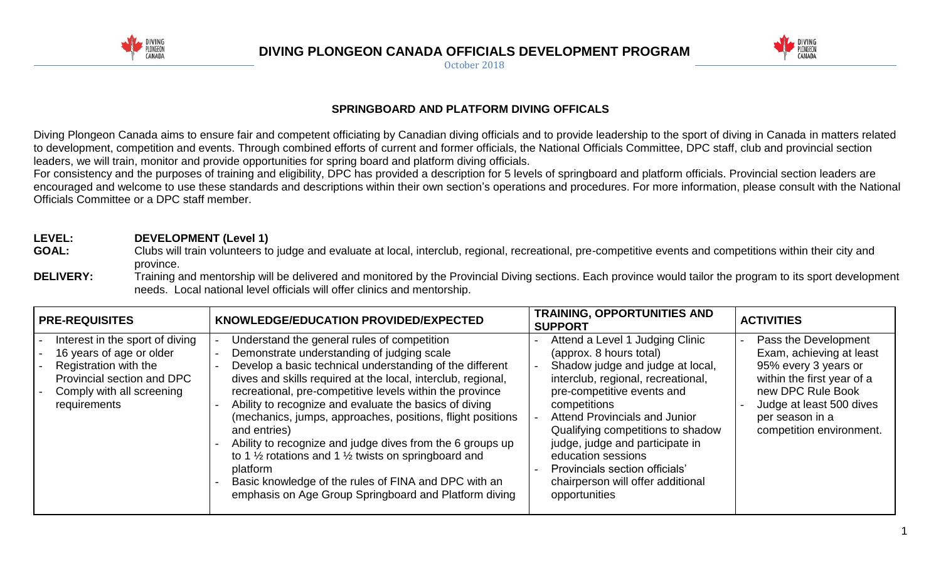

**DIVING PLONGEON CANADA OFFICIALS DEVELOPMENT PROGRAM**

October 2018



## **SPRINGBOARD AND PLATFORM DIVING OFFICALS**

Diving Plongeon Canada aims to ensure fair and competent officiating by Canadian diving officials and to provide leadership to the sport of diving in Canada in matters related to development, competition and events. Through combined efforts of current and former officials, the National Officials Committee, DPC staff, club and provincial section leaders, we will train, monitor and provide opportunities for spring board and platform diving officials.

For consistency and the purposes of training and eligibility, DPC has provided a description for 5 levels of springboard and platform officials. Provincial section leaders are encouraged and welcome to use these standards and descriptions within their own section's operations and procedures. For more information, please consult with the National Officials Committee or a DPC staff member.

# **LEVEL: DEVELOPMENT (Level 1)**

- GOAL: Clubs will train volunteers to judge and evaluate at local, interclub, regional, recreational, pre-competitive events and competitions within their city and province.
- **DELIVERY:** Training and mentorship will be delivered and monitored by the Provincial Diving sections. Each province would tailor the program to its sport development needs. Local national level officials will offer clinics and mentorship.

| <b>PRE-REQUISITES</b>                                                                                                                                           | KNOWLEDGE/EDUCATION PROVIDED/EXPECTED                                                                                                                                                                                                                                                                                                                                                                                                                                                                                                                                                                                                                                                             | <b>TRAINING, OPPORTUNITIES AND</b><br><b>SUPPORT</b>                                                                                                                                                                                                                                                                                                                                                      | <b>ACTIVITIES</b>                                                                                                                                                                                      |
|-----------------------------------------------------------------------------------------------------------------------------------------------------------------|---------------------------------------------------------------------------------------------------------------------------------------------------------------------------------------------------------------------------------------------------------------------------------------------------------------------------------------------------------------------------------------------------------------------------------------------------------------------------------------------------------------------------------------------------------------------------------------------------------------------------------------------------------------------------------------------------|-----------------------------------------------------------------------------------------------------------------------------------------------------------------------------------------------------------------------------------------------------------------------------------------------------------------------------------------------------------------------------------------------------------|--------------------------------------------------------------------------------------------------------------------------------------------------------------------------------------------------------|
| Interest in the sport of diving<br>16 years of age or older<br>Registration with the<br>Provincial section and DPC<br>Comply with all screening<br>requirements | Understand the general rules of competition<br>Demonstrate understanding of judging scale<br>Develop a basic technical understanding of the different<br>dives and skills required at the local, interclub, regional,<br>recreational, pre-competitive levels within the province<br>Ability to recognize and evaluate the basics of diving<br>(mechanics, jumps, approaches, positions, flight positions<br>and entries)<br>Ability to recognize and judge dives from the 6 groups up<br>to 1 $\frac{1}{2}$ rotations and 1 $\frac{1}{2}$ twists on springboard and<br>platform<br>Basic knowledge of the rules of FINA and DPC with an<br>emphasis on Age Group Springboard and Platform diving | Attend a Level 1 Judging Clinic<br>(approx. 8 hours total)<br>Shadow judge and judge at local,<br>interclub, regional, recreational,<br>pre-competitive events and<br>competitions<br>Attend Provincials and Junior<br>Qualifying competitions to shadow<br>judge, judge and participate in<br>education sessions<br>Provincials section officials'<br>chairperson will offer additional<br>opportunities | Pass the Development<br>Exam, achieving at least<br>95% every 3 years or<br>within the first year of a<br>new DPC Rule Book<br>Judge at least 500 dives<br>per season in a<br>competition environment. |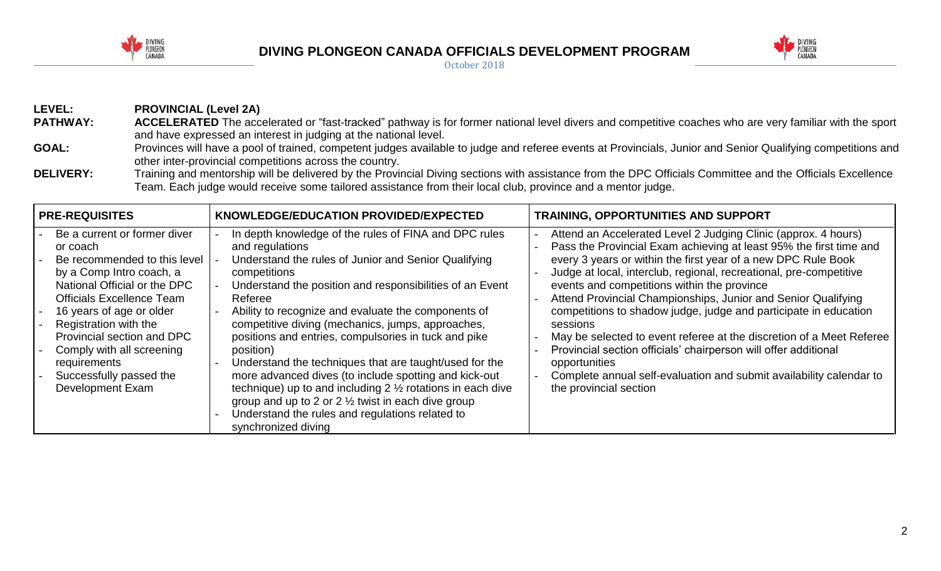

### **DIVING PLONGEON CANADA OFFICIALS DEVELOPMENT PROGRAM** October 2018



**LEVEL: PROVINCIAL (Level 2A) PATHWAY:** ACCELERATED The accelerated or "fast-tracked" pathway is for former national level divers and competitive coaches who are very familiar with the sport and have expressed an interest in judging at the national level. GOAL: Provinces will have a pool of trained, competent judges available to judge and referee events at Provincials, Junior and Senior Qualifying competitions and other inter-provincial competitions across the country.

DELIVERY: Training and mentorship will be delivered by the Provincial Diving sections with assistance from the DPC Officials Committee and the Officials Excellence Team. Each judge would receive some tailored assistance from their local club, province and a mentor judge.

| <b>I PRE-REQUISITES</b>                                                                                                                                                                                                                                                                                                                                        | KNOWLEDGE/EDUCATION PROVIDED/EXPECTED                                                                                                                                                                                                                                                                                                                                                                                                                                                                                                                                                                                                                                                                                                         | <b>TRAINING, OPPORTUNITIES AND SUPPORT</b>                                                                                                                                                                                                                                                                                                                                                                                                                                                                                                                                                                                                                                                                                               |
|----------------------------------------------------------------------------------------------------------------------------------------------------------------------------------------------------------------------------------------------------------------------------------------------------------------------------------------------------------------|-----------------------------------------------------------------------------------------------------------------------------------------------------------------------------------------------------------------------------------------------------------------------------------------------------------------------------------------------------------------------------------------------------------------------------------------------------------------------------------------------------------------------------------------------------------------------------------------------------------------------------------------------------------------------------------------------------------------------------------------------|------------------------------------------------------------------------------------------------------------------------------------------------------------------------------------------------------------------------------------------------------------------------------------------------------------------------------------------------------------------------------------------------------------------------------------------------------------------------------------------------------------------------------------------------------------------------------------------------------------------------------------------------------------------------------------------------------------------------------------------|
| Be a current or former diver<br>or coach<br>Be recommended to this level<br>by a Comp Intro coach, a<br>National Official or the DPC<br><b>Officials Excellence Team</b><br>16 years of age or older<br>Registration with the<br>Provincial section and DPC<br>Comply with all screening<br>requirements<br>Successfully passed the<br><b>Development Exam</b> | In depth knowledge of the rules of FINA and DPC rules<br>and regulations<br>Understand the rules of Junior and Senior Qualifying<br>competitions<br>Understand the position and responsibilities of an Event<br>Referee<br>Ability to recognize and evaluate the components of<br>competitive diving (mechanics, jumps, approaches,<br>positions and entries, compulsories in tuck and pike<br>position)<br>Understand the techniques that are taught/used for the<br>more advanced dives (to include spotting and kick-out<br>technique) up to and including $2\frac{1}{2}$ rotations in each dive<br>group and up to 2 or $2\frac{1}{2}$ twist in each dive group<br>Understand the rules and regulations related to<br>synchronized diving | Attend an Accelerated Level 2 Judging Clinic (approx. 4 hours)<br>Pass the Provincial Exam achieving at least 95% the first time and<br>every 3 years or within the first year of a new DPC Rule Book<br>Judge at local, interclub, regional, recreational, pre-competitive<br>events and competitions within the province<br>Attend Provincial Championships, Junior and Senior Qualifying<br>competitions to shadow judge, judge and participate in education<br>sessions<br>May be selected to event referee at the discretion of a Meet Referee<br>Provincial section officials' chairperson will offer additional<br>opportunities<br>Complete annual self-evaluation and submit availability calendar to<br>the provincial section |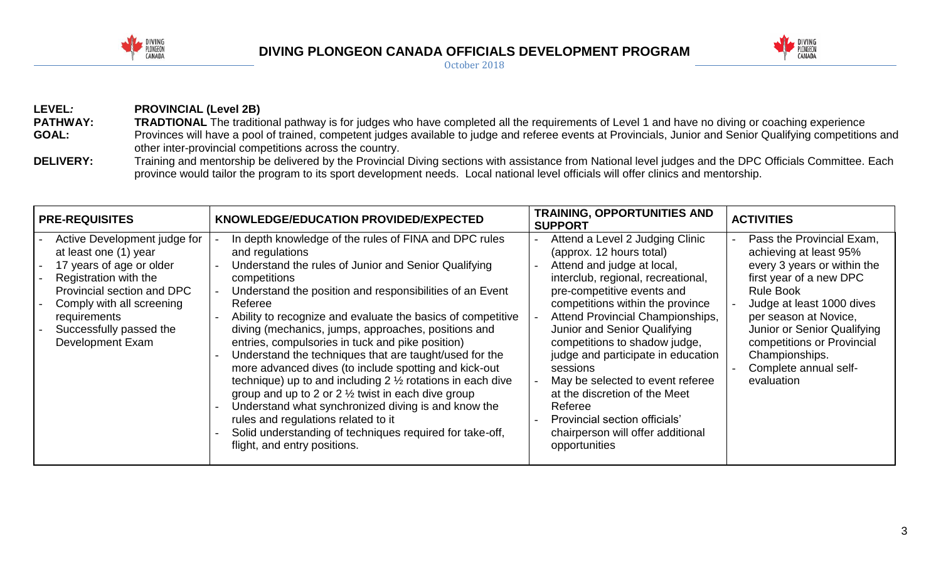

## **DIVING PLONGEON CANADA OFFICIALS DEVELOPMENT PROGRAM** October 2018



**LEVEL***:* **PROVINCIAL (Level 2B) PATHWAY:** TRADTIONAL The traditional pathway is for judges who have completed all the requirements of Level 1 and have no diving or coaching experience GOAL: Provinces will have a pool of trained, competent judges available to judge and referee events at Provincials, Junior and Senior Qualifying competitions and other inter-provincial competitions across the country.

DELIVERY: Training and mentorship be delivered by the Provincial Diving sections with assistance from National level judges and the DPC Officials Committee. Each province would tailor the program to its sport development needs. Local national level officials will offer clinics and mentorship.

| <b>PRE-REQUISITES</b>                                                                                                                                                                                                                       | KNOWLEDGE/EDUCATION PROVIDED/EXPECTED                                                                                                                                                                                                                                                                                                                                                                                                                                                                                                                                                                                                                                                                                                                                                                                                                  | <b>TRAINING, OPPORTUNITIES AND</b><br><b>SUPPORT</b>                                                                                                                                                                                                                                                                                                                                                                                                                                                                            | <b>ACTIVITIES</b>                                                                                                                                                                                                                                                                                             |
|---------------------------------------------------------------------------------------------------------------------------------------------------------------------------------------------------------------------------------------------|--------------------------------------------------------------------------------------------------------------------------------------------------------------------------------------------------------------------------------------------------------------------------------------------------------------------------------------------------------------------------------------------------------------------------------------------------------------------------------------------------------------------------------------------------------------------------------------------------------------------------------------------------------------------------------------------------------------------------------------------------------------------------------------------------------------------------------------------------------|---------------------------------------------------------------------------------------------------------------------------------------------------------------------------------------------------------------------------------------------------------------------------------------------------------------------------------------------------------------------------------------------------------------------------------------------------------------------------------------------------------------------------------|---------------------------------------------------------------------------------------------------------------------------------------------------------------------------------------------------------------------------------------------------------------------------------------------------------------|
| Active Development judge for<br>at least one (1) year<br>17 years of age or older<br>Registration with the<br>Provincial section and DPC<br>Comply with all screening<br>requirements<br>Successfully passed the<br><b>Development Exam</b> | In depth knowledge of the rules of FINA and DPC rules<br>and regulations<br>Understand the rules of Junior and Senior Qualifying<br>competitions<br>Understand the position and responsibilities of an Event<br>Referee<br>Ability to recognize and evaluate the basics of competitive<br>diving (mechanics, jumps, approaches, positions and<br>entries, compulsories in tuck and pike position)<br>Understand the techniques that are taught/used for the<br>more advanced dives (to include spotting and kick-out<br>technique) up to and including $2\frac{1}{2}$ rotations in each dive<br>group and up to 2 or $2\frac{1}{2}$ twist in each dive group<br>Understand what synchronized diving is and know the<br>rules and regulations related to it<br>Solid understanding of techniques required for take-off,<br>flight, and entry positions. | Attend a Level 2 Judging Clinic<br>(approx. 12 hours total)<br>Attend and judge at local,<br>interclub, regional, recreational,<br>pre-competitive events and<br>competitions within the province<br>Attend Provincial Championships,<br>Junior and Senior Qualifying<br>competitions to shadow judge,<br>judge and participate in education<br>sessions<br>May be selected to event referee<br>at the discretion of the Meet<br>Referee<br>Provincial section officials'<br>chairperson will offer additional<br>opportunities | Pass the Provincial Exam,<br>achieving at least 95%<br>every 3 years or within the<br>first year of a new DPC<br><b>Rule Book</b><br>Judge at least 1000 dives<br>per season at Novice,<br>Junior or Senior Qualifying<br>competitions or Provincial<br>Championships.<br>Complete annual self-<br>evaluation |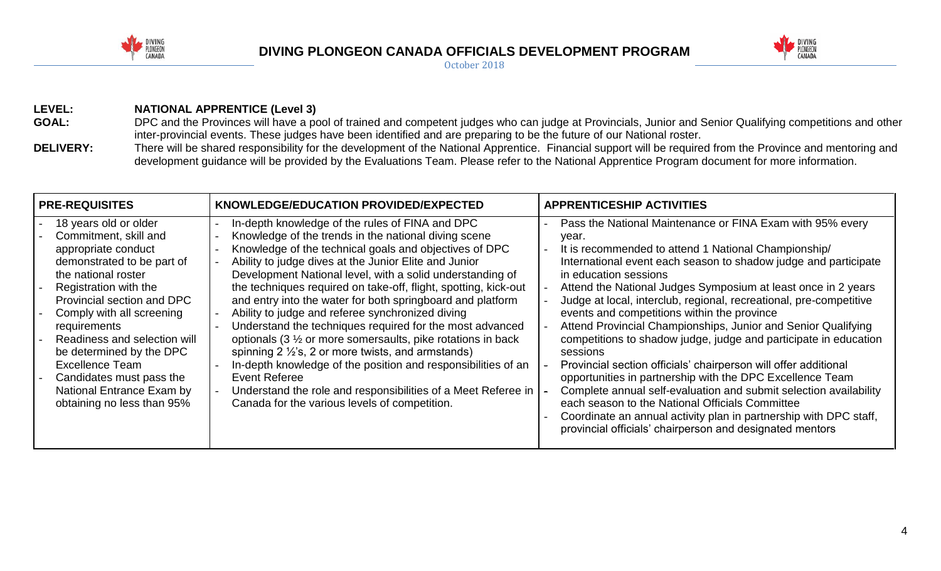

# **DIVING PLONGEON CANADA OFFICIALS DEVELOPMENT PROGRAM**



October 2018

## **LEVEL: NATIONAL APPRENTICE (Level 3)**

- GOAL: DPC and the Provinces will have a pool of trained and competent judges who can judge at Provincials, Junior and Senior Qualifying competitions and other inter-provincial events. These judges have been identified and are preparing to be the future of our National roster.
- DELIVERY: There will be shared responsibility for the development of the National Apprentice. Financial support will be required from the Province and mentoring and development guidance will be provided by the Evaluations Team. Please refer to the National Apprentice Program document for more information.

| <b>PRE-REQUISITES</b>                                                                                                                                                                                                                                                                                                                                                                                       | KNOWLEDGE/EDUCATION PROVIDED/EXPECTED                                                                                                                                                                                                                                                                                                                                                                                                                                                                                                                                                                                                                                                                                                                                                                                                                                        | <b>APPRENTICESHIP ACTIVITIES</b>                                                                                                                                                                                                                                                                                                                                                                                                                                                                                                                                                                                                                                                                                                                                                                                                                                                                                                                       |
|-------------------------------------------------------------------------------------------------------------------------------------------------------------------------------------------------------------------------------------------------------------------------------------------------------------------------------------------------------------------------------------------------------------|------------------------------------------------------------------------------------------------------------------------------------------------------------------------------------------------------------------------------------------------------------------------------------------------------------------------------------------------------------------------------------------------------------------------------------------------------------------------------------------------------------------------------------------------------------------------------------------------------------------------------------------------------------------------------------------------------------------------------------------------------------------------------------------------------------------------------------------------------------------------------|--------------------------------------------------------------------------------------------------------------------------------------------------------------------------------------------------------------------------------------------------------------------------------------------------------------------------------------------------------------------------------------------------------------------------------------------------------------------------------------------------------------------------------------------------------------------------------------------------------------------------------------------------------------------------------------------------------------------------------------------------------------------------------------------------------------------------------------------------------------------------------------------------------------------------------------------------------|
| 18 years old or older<br>Commitment, skill and<br>appropriate conduct<br>demonstrated to be part of<br>the national roster<br>Registration with the<br>Provincial section and DPC<br>Comply with all screening<br>requirements<br>Readiness and selection will<br>be determined by the DPC<br><b>Excellence Team</b><br>Candidates must pass the<br>National Entrance Exam by<br>obtaining no less than 95% | In-depth knowledge of the rules of FINA and DPC<br>Knowledge of the trends in the national diving scene<br>Knowledge of the technical goals and objectives of DPC<br>Ability to judge dives at the Junior Elite and Junior<br>Development National level, with a solid understanding of<br>the techniques required on take-off, flight, spotting, kick-out<br>and entry into the water for both springboard and platform<br>Ability to judge and referee synchronized diving<br>Understand the techniques required for the most advanced<br>optionals (3 1/2 or more somersaults, pike rotations in back<br>spinning $2\frac{1}{2}$ 's, 2 or more twists, and armstands)<br>In-depth knowledge of the position and responsibilities of an<br>Event Referee<br>Understand the role and responsibilities of a Meet Referee in<br>Canada for the various levels of competition. | Pass the National Maintenance or FINA Exam with 95% every<br>year.<br>It is recommended to attend 1 National Championship/<br>International event each season to shadow judge and participate<br>in education sessions<br>Attend the National Judges Symposium at least once in 2 years<br>Judge at local, interclub, regional, recreational, pre-competitive<br>events and competitions within the province<br>Attend Provincial Championships, Junior and Senior Qualifying<br>competitions to shadow judge, judge and participate in education<br>sessions<br>Provincial section officials' chairperson will offer additional<br>opportunities in partnership with the DPC Excellence Team<br>Complete annual self-evaluation and submit selection availability<br>each season to the National Officials Committee<br>Coordinate an annual activity plan in partnership with DPC staff,<br>provincial officials' chairperson and designated mentors |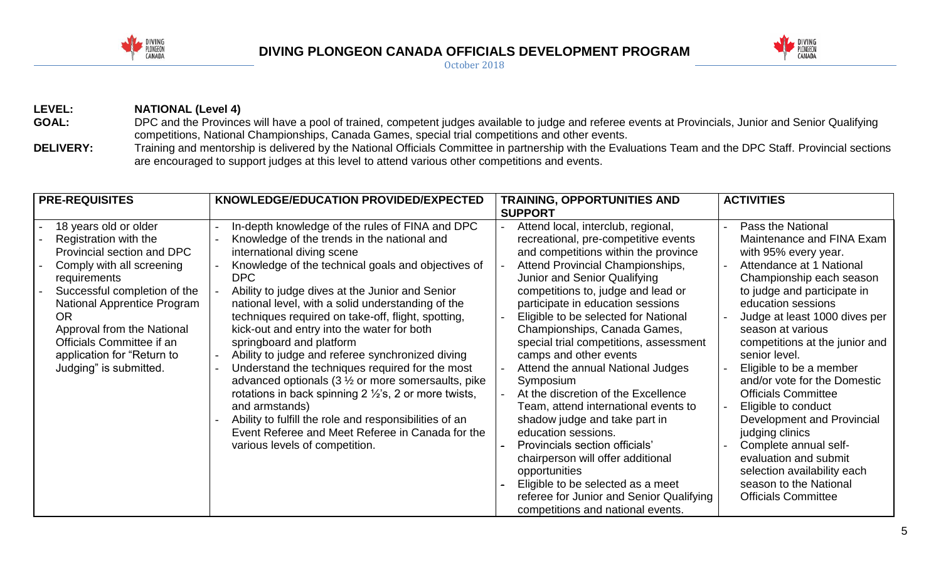

## **DIVING PLONGEON CANADA OFFICIALS DEVELOPMENT PROGRAM** October 2018



**LEVEL: NATIONAL (Level 4)** GOAL: DPC and the Provinces will have a pool of trained, competent judges available to judge and referee events at Provincials, Junior and Senior Qualifying competitions, National Championships, Canada Games, special trial competitions and other events. **DELIVERY:** Training and mentorship is delivered by the National Officials Committee in partnership with the Evaluations Team and the DPC Staff. Provincial sections are encouraged to support judges at this level to attend various other competitions and events.

| <b>PRE-REQUISITES</b>                                                                                                                                                                                                                                                                                                    | KNOWLEDGE/EDUCATION PROVIDED/EXPECTED                                                                                                                                                                                                                                                                                                                                                                                                                                                                                                                                                                                                                                                                                                                                                                                                          | <b>TRAINING, OPPORTUNITIES AND</b><br><b>SUPPORT</b>                                                                                                                                                                                                                                                                                                                                                                                                                                                                                                                                                                                                                                                                                                                                                                 | <b>ACTIVITIES</b>                                                                                                                                                                                                                                                                                                                                                                                                                                                                                                                                                                                      |
|--------------------------------------------------------------------------------------------------------------------------------------------------------------------------------------------------------------------------------------------------------------------------------------------------------------------------|------------------------------------------------------------------------------------------------------------------------------------------------------------------------------------------------------------------------------------------------------------------------------------------------------------------------------------------------------------------------------------------------------------------------------------------------------------------------------------------------------------------------------------------------------------------------------------------------------------------------------------------------------------------------------------------------------------------------------------------------------------------------------------------------------------------------------------------------|----------------------------------------------------------------------------------------------------------------------------------------------------------------------------------------------------------------------------------------------------------------------------------------------------------------------------------------------------------------------------------------------------------------------------------------------------------------------------------------------------------------------------------------------------------------------------------------------------------------------------------------------------------------------------------------------------------------------------------------------------------------------------------------------------------------------|--------------------------------------------------------------------------------------------------------------------------------------------------------------------------------------------------------------------------------------------------------------------------------------------------------------------------------------------------------------------------------------------------------------------------------------------------------------------------------------------------------------------------------------------------------------------------------------------------------|
| 18 years old or older<br>Registration with the<br>Provincial section and DPC<br>Comply with all screening<br>requirements<br>Successful completion of the<br><b>National Apprentice Program</b><br>OR<br>Approval from the National<br>Officials Committee if an<br>application for "Return to<br>Judging" is submitted. | In-depth knowledge of the rules of FINA and DPC<br>Knowledge of the trends in the national and<br>international diving scene<br>Knowledge of the technical goals and objectives of<br>DPC<br>Ability to judge dives at the Junior and Senior<br>national level, with a solid understanding of the<br>techniques required on take-off, flight, spotting,<br>kick-out and entry into the water for both<br>springboard and platform<br>Ability to judge and referee synchronized diving<br>Understand the techniques required for the most<br>advanced optionals ( $3\frac{1}{2}$ or more somersaults, pike<br>rotations in back spinning $2\frac{1}{2}$ 's, 2 or more twists,<br>and armstands)<br>Ability to fulfill the role and responsibilities of an<br>Event Referee and Meet Referee in Canada for the<br>various levels of competition. | Attend local, interclub, regional,<br>recreational, pre-competitive events<br>and competitions within the province<br>Attend Provincial Championships,<br>Junior and Senior Qualifying<br>competitions to, judge and lead or<br>participate in education sessions<br>Eligible to be selected for National<br>Championships, Canada Games,<br>special trial competitions, assessment<br>camps and other events<br>Attend the annual National Judges<br>Symposium<br>At the discretion of the Excellence<br>Team, attend international events to<br>shadow judge and take part in<br>education sessions.<br>Provincials section officials'<br>chairperson will offer additional<br>opportunities<br>Eligible to be selected as a meet<br>referee for Junior and Senior Qualifying<br>competitions and national events. | Pass the National<br>Maintenance and FINA Exam<br>with 95% every year.<br>Attendance at 1 National<br>Championship each season<br>to judge and participate in<br>education sessions<br>Judge at least 1000 dives per<br>season at various<br>competitions at the junior and<br>senior level.<br>Eligible to be a member<br>and/or vote for the Domestic<br><b>Officials Committee</b><br>Eligible to conduct<br>Development and Provincial<br>judging clinics<br>Complete annual self-<br>evaluation and submit<br>selection availability each<br>season to the National<br><b>Officials Committee</b> |